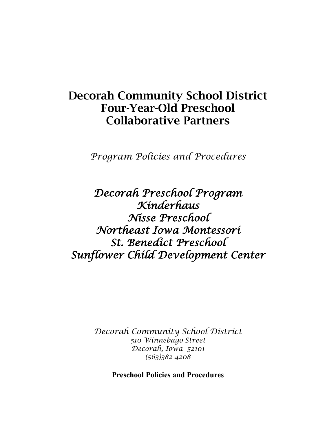# Decorah Community School District Four-Year-Old Preschool Collaborative Partners

*Program Policies and Procedures*

*Decorah Preschool Program Kinderhaus Nisse Preschool Northeast Iowa Montessori St. Benedict Preschool Sunflower Child Development Center* 

> *Decorah Community School District 510 Winnebago Street Decorah, Iowa 52101 (563)382-4208*

> > **Preschool Policies and Procedures**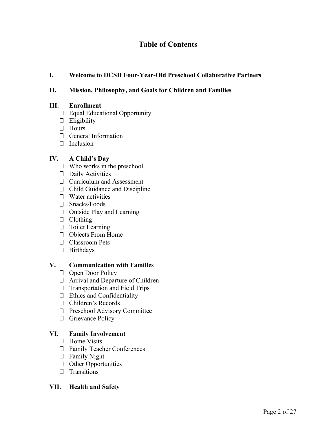## **Table of Contents**

## **I. Welcome to DCSD Four-Year-Old Preschool Collaborative Partners**

## **II. Mission, Philosophy, and Goals for Children and Families**

#### **III. Enrollment**

- Equal Educational Opportunity
- $\Box$  Eligibility
- □ Hours
- General Information
- $\Box$  Inclusion

## **IV. A Child's Day**

- $\Box$  Who works in the preschool
- $\Box$  Daily Activities
- Curriculum and Assessment
- $\Box$  Child Guidance and Discipline
- $\Box$  Water activities
- □ Snacks/Foods
- $\Box$  Outside Play and Learning
- $\Box$  Clothing
- $\Box$  Toilet Learning
- Objects From Home
- □ Classroom Pets
- Birthdays

#### **V. Communication with Families**

- $\Box$  Open Door Policy
- Arrival and Departure of Children
- $\Box$  Transportation and Field Trips
- $\Box$  Ethics and Confidentiality
- Children's Records
- Preschool Advisory Committee
- □ Grievance Policy

## **VI. Family Involvement**

- $\Box$  Home Visits
- Family Teacher Conferences
- Family Night
- $\Box$  Other Opportunities
- $\Box$  Transitions

## **VII. Health and Safety**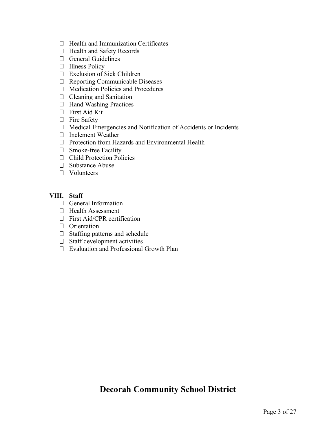- $\Box$  Health and Immunization Certificates
- □ Health and Safety Records
- General Guidelines
- □ Illness Policy
- Exclusion of Sick Children
- $\Box$  Reporting Communicable Diseases
- $\Box$  Medication Policies and Procedures
- $\Box$  Cleaning and Sanitation
- □ Hand Washing Practices
- First Aid Kit
- $\Box$  Fire Safety
- Medical Emergencies and Notification of Accidents or Incidents
- □ Inclement Weather
- $\Box$  Protection from Hazards and Environmental Health
- □ Smoke-free Facility
- Child Protection Policies
- $\Box$  Substance Abuse
- Volunteers

## **VIII. Staff**

- General Information
- $\Box$  Health Assessment
- □ First Aid/CPR certification
- **D** Orientation
- $\Box$  Staffing patterns and schedule
- $\Box$  Staff development activities
- □ Evaluation and Professional Growth Plan

## **Decorah Community School District**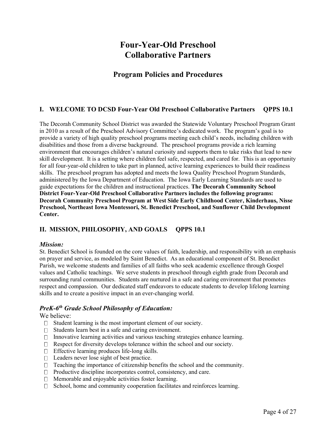## **Four-Year-Old Preschool Collaborative Partners**

## **Program Policies and Procedures**

## **I. WELCOME TO DCSD Four-Year Old Preschool Collaborative Partners QPPS 10.1**

The Decorah Community School District was awarded the Statewide Voluntary Preschool Program Grant in 2010 as a result of the Preschool Advisory Committee's dedicated work. The program's goal is to provide a variety of high quality preschool programs meeting each child's needs, including children with disabilities and those from a diverse background. The preschool programs provide a rich learning environment that encourages children's natural curiosity and supports them to take risks that lead to new skill development. It is a setting where children feel safe, respected, and cared for. This is an opportunity for all four-year-old children to take part in planned, active learning experiences to build their readiness skills. The preschool program has adopted and meets the Iowa Quality Preschool Program Standards, administered by the Iowa Department of Education. The Iowa Early Learning Standards are used to guide expectations for the children and instructional practices. **The Decorah Community School District Four-Year-Old Preschool Collaborative Partners includes the following programs: Decorah Community Preschool Program at West Side Early Childhood Center, Kinderhaus, Nisse Preschool, Northeast Iowa Montessori, St. Benedict Preschool, and Sunflower Child Development Center.** 

## **II. MISSION, PHILOSOPHY, AND GOALS QPPS 10.1**

#### *Mission:*

St. Benedict School is founded on the core values of faith, leadership, and responsibility with an emphasis on prayer and service, as modeled by Saint Benedict. As an educational component of St. Benedict Parish, we welcome students and families of all faiths who seek academic excellence through Gospel values and Catholic teachings. We serve students in preschool through eighth grade from Decorah and surrounding rural communities. Students are nurtured in a safe and caring environment that promotes respect and compassion. Our dedicated staff endeavors to educate students to develop lifelong learning skills and to create a positive impact in an ever-changing world.

## *PreK-6th Grade School Philosophy of Education:*

#### We believe:

- $\Box$  Student learning is the most important element of our society.
- $\Box$ Students learn best in a safe and caring environment.
- $\Box$  Innovative learning activities and various teaching strategies enhance learning.
- Respect for diversity develops tolerance within the school and our society.  $\Box$
- Effective learning produces life-long skills.  $\Box$
- $\Box$  Leaders never lose sight of best practice.
- $\Box$  Teaching the importance of citizenship benefits the school and the community.
- $\Box$  Productive discipline incorporates control, consistency, and care.
- $\Box$  Memorable and enjoyable activities foster learning.
- $\Box$  School, home and community cooperation facilitates and reinforces learning.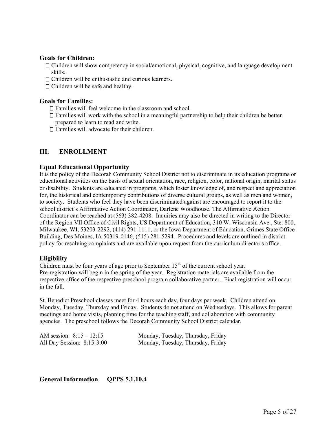#### **Goals for Children:**

- $\Box$  Children will show competency in social/emotional, physical, cognitive, and language development skills.
- $\Box$  Children will be enthusiastic and curious learners.
- $\Box$  Children will be safe and healthy.

#### **Goals for Families:**

- $\Box$  Families will feel welcome in the classroom and school.
- $\Box$  Families will work with the school in a meaningful partnership to help their children be better prepared to learn to read and write.
- $\Box$  Families will advocate for their children.

#### **III. ENROLLMENT**

#### **Equal Educational Opportunity**

It is the policy of the Decorah Community School District not to discriminate in its education programs or educational activities on the basis of sexual orientation, race, religion, color, national origin, marital status or disability. Students are educated in programs, which foster knowledge of, and respect and appreciation for, the historical and contemporary contributions of diverse cultural groups, as well as men and women, to society. Students who feel they have been discriminated against are encouraged to report it to the school district's Affirmative Action Coordinator, Darlene Woodhouse. The Affirmative Action Coordinator can be reached at (563) 382-4208. Inquiries may also be directed in writing to the Director of the Region VII Office of Civil Rights, US Department of Education, 310 W. Wisconsin Ave., Ste. 800, Milwaukee, WI, 53203-2292, (414) 291-1111, or the Iowa Department of Education, Grimes State Office Building, Des Moines, IA 50319-0146, (515) 281-5294. Procedures and levels are outlined in district policy for resolving complaints and are available upon request from the curriculum director's office.

#### **Eligibility**

Children must be four years of age prior to September  $15<sup>th</sup>$  of the current school year. Pre-registration will begin in the spring of the year. Registration materials are available from the respective office of the respective preschool program collaborative partner. Final registration will occur in the fall.

St. Benedict Preschool classes meet for 4 hours each day, four days per week. Children attend on Monday, Tuesday, Thursday and Friday. Students do not attend on Wednesdays. This allows for parent meetings and home visits, planning time for the teaching staff, and collaboration with community agencies. The preschool follows the Decorah Community School District calendar.

| AM session: $8:15 - 12:15$   | Monday, Tuesday, Thursday, Friday |
|------------------------------|-----------------------------------|
| All Day Session: $8:15-3:00$ | Monday, Tuesday, Thursday, Friday |

**General Information QPPS 5.1,10.4**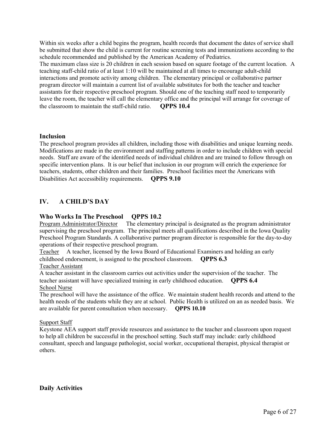Within six weeks after a child begins the program, health records that document the dates of service shall be submitted that show the child is current for routine screening tests and immunizations according to the schedule recommended and published by the American Academy of Pediatrics. The maximum class size is 20 children in each session based on square footage of the current location. A teaching staff-child ratio of at least 1:10 will be maintained at all times to encourage adult-child interactions and promote activity among children. The elementary principal or collaborative partner program director will maintain a current list of available substitutes for both the teacher and teacher assistants for their respective preschool program. Should one of the teaching staff need to temporarily leave the room, the teacher will call the elementary office and the principal will arrange for coverage of the classroom to maintain the staff-child ratio. **QPPS 10.4**

#### **Inclusion**

The preschool program provides all children, including those with disabilities and unique learning needs. Modifications are made in the environment and staffing patterns in order to include children with special needs. Staff are aware of the identified needs of individual children and are trained to follow through on specific intervention plans. It is our belief that inclusion in our program will enrich the experience for teachers, students, other children and their families. Preschool facilities meet the Americans with Disabilities Act accessibility requirements. **QPPS 9.10**

## **IV. A CHILD'S DAY**

#### **Who Works In The Preschool QPPS 10.2**

Program Administrator/Director The elementary principal is designated as the program administrator supervising the preschool program. The principal meets all qualifications described in the Iowa Quality Preschool Program Standards. A collaborative partner program director is responsible for the day-to-day operations of their respective preschool program.

Teacher A teacher, licensed by the Iowa Board of Educational Examiners and holding an early childhood endorsement, is assigned to the preschool classroom. **QPPS 6.3** Teacher Assistant

A teacher assistant in the classroom carries out activities under the supervision of the teacher. The teacher assistant will have specialized training in early childhood education. **QPPS 6.4** School Nurse

The preschool will have the assistance of the office. We maintain student health records and attend to the health needs of the students while they are at school. Public Health is utilized on an as needed basis. We are available for parent consultation when necessary. **QPPS 10.10**

#### Support Staff

Keystone AEA support staff provide resources and assistance to the teacher and classroom upon request to help all children be successful in the preschool setting. Such staff may include: early childhood consultant, speech and language pathologist, social worker, occupational therapist, physical therapist or others.

**Daily Activities**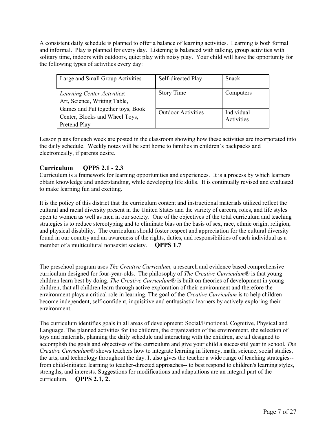A consistent daily schedule is planned to offer a balance of learning activities. Learning is both formal and informal. Play is planned for every day. Listening is balanced with talking, group activities with solitary time, indoors with outdoors, quiet play with noisy play. Your child will have the opportunity for the following types of activities every day:

| Large and Small Group Activities                                                                                                                   | Self-directed Play        | <b>Snack</b>             |
|----------------------------------------------------------------------------------------------------------------------------------------------------|---------------------------|--------------------------|
| Learning Center Activities:<br>Art, Science, Writing Table,<br>Games and Put together toys, Book<br>Center, Blocks and Wheel Toys,<br>Pretend Play | <b>Story Time</b>         | Computers                |
|                                                                                                                                                    | <b>Outdoor Activities</b> | Individual<br>Activities |

Lesson plans for each week are posted in the classroom showing how these activities are incorporated into the daily schedule. Weekly notes will be sent home to families in children's backpacks and electronically, if parents desire.

## **Curriculum QPPS 2.1 - 2.3**

Curriculum is a framework for learning opportunities and experiences. It is a process by which learners obtain knowledge and understanding, while developing life skills. It is continually revised and evaluated to make learning fun and exciting.

It is the policy of this district that the curriculum content and instructional materials utilized reflect the cultural and racial diversity present in the United States and the variety of careers, roles, and life styles open to women as well as men in our society. One of the objectives of the total curriculum and teaching strategies is to reduce stereotyping and to eliminate bias on the basis of sex, race, ethnic origin, religion, and physical disability. The curriculum should foster respect and appreciation for the cultural diversity found in our country and an awareness of the rights, duties, and responsibilities of each individual as a member of a multicultural nonsexist society. **QPPS 1.7** 

The preschool program uses *The Creative Curriculum,* a research and evidence based comprehensive curriculum designed for four-year-olds. The philosophy of *The Creative Curriculum®* is that young children learn best by doing. *The Creative Curriculum®* is built on theories of development in young children, that all children learn through active exploration of their environment and therefore the environment plays a critical role in learning. The goal of the *Creative Curriculum* is to help children become independent, self-confident, inquisitive and enthusiastic learners by actively exploring their environment.

The curriculum identifies goals in all areas of development: Social/Emotional, Cognitive, Physical and Language. The planned activities for the children, the organization of the environment, the selection of toys and materials, planning the daily schedule and interacting with the children, are all designed to accomplish the goals and objectives of the curriculum and give your child a successful year in school. *The Creative Curriculum®* shows teachers how to integrate learning in literacy, math, science, social studies, the arts, and technology throughout the day. It also gives the teacher a wide range of teaching strategies- from child-initiated learning to teacher-directed approaches-- to best respond to children's learning styles, strengths, and interests. Suggestions for modifications and adaptations are an integral part of the curriculum. **QPPS 2.1, 2.**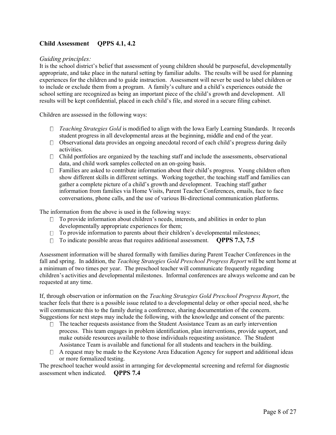## **Child Assessment QPPS 4.1, 4.2**

#### *Guiding principles:*

It is the school district's belief that assessment of young children should be purposeful, developmentally appropriate, and take place in the natural setting by familiar adults. The results will be used for planning experiences for the children and to guide instruction. Assessment will never be used to label children or to include or exclude them from a program. A family's culture and a child's experiences outside the school setting are recognized as being an important piece of the child's growth and development. All results will be kept confidential, placed in each child's file, and stored in a secure filing cabinet.

Children are assessed in the following ways:

- *Teaching Strategies Gold* is modified to align with the Iowa Early Learning Standards. It records student progress in all developmental areas at the beginning, middle and end of the year.
- $\Box$  Observational data provides an ongoing anecdotal record of each child's progress during daily activities.
- $\Box$  Child portfolios are organized by the teaching staff and include the assessments, observational data, and child work samples collected on an on-going basis.
- $\Box$  Families are asked to contribute information about their child's progress. Young children often show different skills in different settings. Working together, the teaching staff and families can gather a complete picture of a child's growth and development. Teaching staff gather information from families via Home Visits, Parent Teacher Conferences, emails, face to face conversations, phone calls, and the use of various Bi-directional communication platforms.

The information from the above is used in the following ways:

- $\Box$  To provide information about children's needs, interests, and abilities in order to plan developmentally appropriate experiences for them;
- $\Box$  To provide information to parents about their children's developmental milestones;
- □ To indicate possible areas that requires additional assessment. **QPPS 7.3, 7.5**

Assessment information will be shared formally with families during Parent Teacher Conferences in the fall and spring. In addition, the *Teaching Strategies Gold Preschool Progress Report* will be sent home at a minimum of two times per year.The preschool teacher will communicate frequently regarding children's activities and developmental milestones. Informal conferences are always welcome and can be requested at any time.

If, through observation or information on the *Teaching Strategies Gold Preschool Progress Report*, the teacher feels that there is a possible issue related to a developmental delay or other special need, she/he will communicate this to the family during a conference, sharing documentation of the concern. Suggestions for next steps may include the following, with the knowledge and consent of the parents:

- $\Box$  The teacher requests assistance from the Student Assistance Team as an early intervention process. This team engages in problem identification, plan interventions, provide support, and make outside resources available to those individuals requesting assistance. The Student Assistance Team is available and functional for all students and teachers in the building.
- $\Box$  A request may be made to the Keystone Area Education Agency for support and additional ideas or more formalized testing.

The preschool teacher would assist in arranging for developmental screening and referral for diagnostic assessment when indicated. **QPPS 7.4**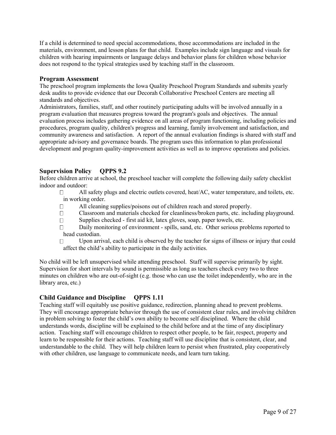If a child is determined to need special accommodations, those accommodations are included in the materials, environment, and lesson plans for that child. Examples include sign language and visuals for children with hearing impairments or language delays and behavior plans for children whose behavior does not respond to the typical strategies used by teaching staff in the classroom.

#### **Program Assessment**

The preschool program implements the Iowa Quality Preschool Program Standards and submits yearly desk audits to provide evidence that our Decorah Collaborative Preschool Centers are meeting all standards and objectives.

Administrators, families, staff, and other routinely participating adults will be involved annually in a program evaluation that measures progress toward the program's goals and objectives. The annual evaluation process includes gathering evidence on all areas of program functioning, including policies and procedures, program quality, children's progress and learning, family involvement and satisfaction, and community awareness and satisfaction. A report of the annual evaluation findings is shared with staff and appropriate advisory and governance boards. The program uses this information to plan professional development and program quality-improvement activities as well as to improve operations and policies.

## **Supervision Policy QPPS 9.2**

Before children arrive at school, the preschool teacher will complete the following daily safety checklist indoor and outdoor:

All safety plugs and electric outlets covered, heat/AC, water temperature, and toilets, etc.  $\Box$ in working order.

- All cleaning supplies/poisons out of children reach and stored properly.  $\Box$
- Classroom and materials checked for cleanliness/broken parts, etc. including playground.  $\Box$
- $\Box$ Supplies checked - first aid kit, latex gloves, soap, paper towels, etc.
- Daily monitoring of environment spills, sand, etc. Other serious problems reported to  $\Box$ head custodian.
- $\Box$ Upon arrival, each child is observed by the teacher for signs of illness or injury that could affect the child's ability to participate in the daily activities.

No child will be left unsupervised while attending preschool. Staff will supervise primarily by sight. Supervision for short intervals by sound is permissible as long as teachers check every two to three minutes on children who are out-of-sight (e.g. those who can use the toilet independently, who are in the library area, etc.)

#### **Child Guidance and Discipline QPPS 1.11**

Teaching staff will equitably use positive guidance, redirection, planning ahead to prevent problems. They will encourage appropriate behavior through the use of consistent clear rules, and involving children in problem solving to foster the child's own ability to become self disciplined. Where the child understands words, discipline will be explained to the child before and at the time of any disciplinary action. Teaching staff will encourage children to respect other people, to be fair, respect, property and learn to be responsible for their actions. Teaching staff will use discipline that is consistent, clear, and understandable to the child. They will help children learn to persist when frustrated, play cooperatively with other children, use language to communicate needs, and learn turn taking.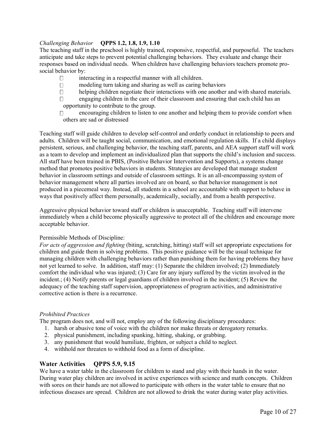#### *Challenging Behavior* **QPPS 1.2, 1.8, 1.9, 1.10**

The teaching staff in the preschool is highly trained, responsive, respectful, and purposeful. The teachers anticipate and take steps to prevent potential challenging behaviors. They evaluate and change their responses based on individual needs. When children have challenging behaviors teachers promote prosocial behavior by:

- $\Box$ interacting in a respectful manner with all children.
- $\Box$ modeling turn taking and sharing as well as caring behaviors
- helping children negotiate their interactions with one another and with shared materials.  $\Box$
- engaging children in the care of their classroom and ensuring that each child has an  $\Box$ opportunity to contribute to the group.
- encouraging children to listen to one another and helping them to provide comfort when  $\Box$ others are sad or distressed

Teaching staff will guide children to develop self-control and orderly conduct in relationship to peers and adults. Children will be taught social, communication, and emotional regulation skills. If a child displays persistent, serious, and challenging behavior, the teaching staff, parents, and AEA support staff will work as a team to develop and implement an individualized plan that supports the child's inclusion and success. All staff have been trained in PBIS, (Positive Behavior Intervention and Supports), a systems change method that promotes positive behaviors in students. Strategies are developed that manage student behavior in classroom settings and outside of classroom settings. It is an all-encompassing system of behavior management where all parties involved are on board, so that behavior management is not produced in a piecemeal way. Instead, all students in a school are accountable with support to behave in ways that positively affect them personally, academically, socially, and from a health perspective.

Aggressive physical behavior toward staff or children is unacceptable. Teaching staff will intervene immediately when a child become physically aggressive to protect all of the children and encourage more acceptable behavior.

#### Permissible Methods of Discipline:

*For acts of aggression and fighting* (biting, scratching, hitting) staff will set appropriate expectations for children and guide them in solving problems. This positive guidance will be the usual technique for managing children with challenging behaviors rather than punishing them for having problems they have not yet learned to solve. In addition, staff may: (1) Separate the children involved; (2) Immediately comfort the individual who was injured; (3) Care for any injury suffered by the victim involved in the incident.; (4) Notify parents or legal guardians of children involved in the incident; (5) Review the adequacy of the teaching staff supervision, appropriateness of program activities, and administrative corrective action is there is a recurrence.

#### *Prohibited Practices*

The program does not, and will not, employ any of the following disciplinary procedures:

- 1. harsh or abusive tone of voice with the children nor make threats or derogatory remarks.
- 2. physical punishment, including spanking, hitting, shaking, or grabbing.
- 3. any punishment that would humiliate, frighten, or subject a child to neglect.
- 4. withhold nor threaten to withhold food as a form of discipline.

#### **Water Activities QPPS 5.9, 9.15**

We have a water table in the classroom for children to stand and play with their hands in the water. During water play children are involved in active experiences with science and math concepts. Children with sores on their hands are not allowed to participate with others in the water table to ensure that no infectious diseases are spread. Children are not allowed to drink the water during water play activities.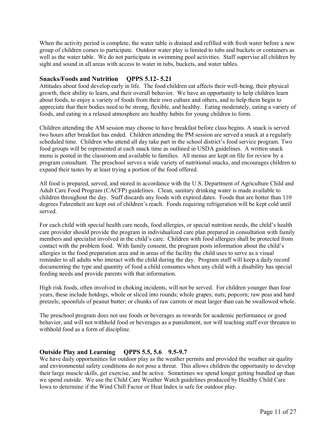When the activity period is complete, the water table is drained and refilled with fresh water before a new group of children comes to participate. Outdoor water play is limited to tubs and buckets or containers as well as the water table. We do not participate in swimming pool activities. Staff supervise all children by sight and sound in all areas with access to water in tubs, buckets, and water tables.

#### **Snacks/Foods and Nutrition QPPS 5.12- 5.21**

Attitudes about food develop early in life. The food children eat affects their well-being, their physical growth, their ability to learn, and their overall behavior. We have an opportunity to help children learn about foods, to enjoy a variety of foods from their own culture and others, and to help them begin to appreciate that their bodies need to be strong, flexible, and healthy. Eating moderately, eating a variety of foods, and eating in a relaxed atmosphere are healthy habits for young children to form.

Children attending the AM session may choose to have breakfast before class begins. A snack is served two hours after breakfast has ended. Children attending the PM session are served a snack at a regularly scheduled time. Children who attend all day take part in the school district's food service program. Two food groups will be represented at each snack time as outlined in USDA guidelines. A written snack menu is posted in the classroom and available to families. All menus are kept on file for review by a program consultant. The preschool serves a wide variety of nutritional snacks, and encourages children to expand their tastes by at least trying a portion of the food offered.

All food is prepared, served, and stored in accordance with the U.S. Department of Agriculture Child and Adult Care Food Program (CACFP) guidelines. Clean, sanitary drinking water is made available to children throughout the day. Staff discards any foods with expired dates. Foods that are hotter than 110 degrees Fahrenheit are kept out of children's reach. Foods requiring refrigeration will be kept cold until served.

For each child with special health care needs, food allergies, or special nutrition needs, the child's health care provider should provide the program in individualized care plan prepared in consultation with family members and specialist involved in the child's care. Children with food allergies shall be protected from contact with the problem food. With family consent, the program posts information about the child's allergies in the food preparation area and in areas of the facility the child uses to serve as a visual reminder to all adults who interact with the child during the day. Program staff will keep a daily record documenting the type and quantity of food a child consumes when any child with a disability has special feeding needs and provide parents with that information.

High risk foods, often involved in choking incidents, will not be served. For children younger than four years, these include hotdogs, whole or sliced into rounds; whole grapes; nuts; popcorn; raw peas and hard pretzels; spoonfuls of peanut butter; or chunks of raw carrots or meat larger than can be swallowed whole.

The preschool program does not use foods or beverages as rewards for academic performance or good behavior, and will not withhold food or beverages as a punishment, nor will teaching staff ever threaten to withhold food as a form of discipline.

#### **Outside Play and Learning QPPS 5.5, 5.6 9.5-9.7**

We have daily opportunities for outdoor play as the weather permits and provided the weather air quality and environmental safety conditions do not pose a threat. This allows children the opportunity to develop their large muscle skills, get exercise, and be active. Sometimes we spend longer getting bundled up than we spend outside. We use the Child Care Weather Watch guidelines produced by Healthy Child Care Iowa to determine if the Wind Chill Factor or Heat Index is safe for outdoor play.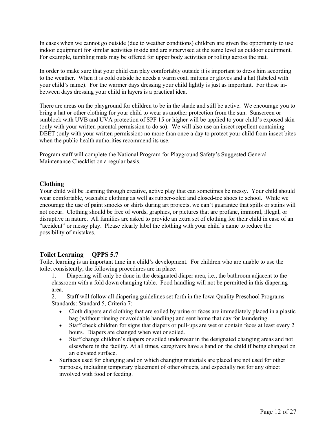In cases when we cannot go outside (due to weather conditions) children are given the opportunity to use indoor equipment for similar activities inside and are supervised at the same level as outdoor equipment. For example, tumbling mats may be offered for upper body activities or rolling across the mat.

In order to make sure that your child can play comfortably outside it is important to dress him according to the weather. When it is cold outside he needs a warm coat, mittens or gloves and a hat (labeled with your child's name). For the warmer days dressing your child lightly is just as important. For those inbetween days dressing your child in layers is a practical idea.

There are areas on the playground for children to be in the shade and still be active. We encourage you to bring a hat or other clothing for your child to wear as another protection from the sun. Sunscreen or sunblock with UVB and UVA protection of SPF 15 or higher will be applied to your child's exposed skin (only with your written parental permission to do so). We will also use an insect repellent containing DEET (only with your written permission) no more than once a day to protect your child from insect bites when the public health authorities recommend its use.

Program staff will complete the National Program for Playground Safety's Suggested General Maintenance Checklist on a regular basis.

#### **Clothing**

Your child will be learning through creative, active play that can sometimes be messy. Your child should wear comfortable, washable clothing as well as rubber-soled and closed-toe shoes to school. While we encourage the use of paint smocks or shirts during art projects, we can't guarantee that spills or stains will not occur. Clothing should be free of words, graphics, or pictures that are profane, immoral, illegal, or disruptive in nature. All families are asked to provide an extra set of clothing for their child in case of an "accident" or messy play. Please clearly label the clothing with your child's name to reduce the possibility of mistakes.

#### **Toilet Learning QPPS 5.7**

Toilet learning is an important time in a child's development. For children who are unable to use the toilet consistently, the following procedures are in place:

1. Diapering will only be done in the designated diaper area, i.e., the bathroom adjacent to the classroom with a fold down changing table. Food handling will not be permitted in this diapering area.

2. Staff will follow all diapering guidelines set forth in the Iowa Quality Preschool Programs Standards: Standard 5, Criteria 7:

- Cloth diapers and clothing that are soiled by urine or feces are immediately placed in a plastic bag (without rinsing or avoidable handling) and sent home that day for laundering.
- Staff check children for signs that diapers or pull-ups are wet or contain feces at least every 2 hours. Diapers are changed when wet or soiled.
- Staff change children's diapers or soiled underwear in the designated changing areas and not elsewhere in the facility. At all times, caregivers have a hand on the child if being changed on an elevated surface.
- Surfaces used for changing and on which changing materials are placed are not used for other purposes, including temporary placement of other objects, and especially not for any object involved with food or feeding.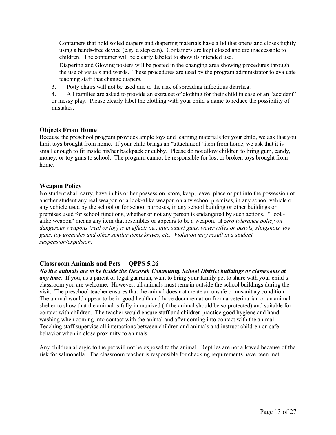Containers that hold soiled diapers and diapering materials have a lid that opens and closes tightly using a hands-free device (e.g., a step can). Containers are kept closed and are inaccessible to children. The container will be clearly labeled to show its intended use.

Diapering and Gloving posters will be posted in the changing area showing procedures through the use of visuals and words. These procedures are used by the program administrator to evaluate teaching staff that change diapers.

3. Potty chairs will not be used due to the risk of spreading infectious diarrhea.

4. All families are asked to provide an extra set of clothing for their child in case of an "accident" or messy play. Please clearly label the clothing with your child's name to reduce the possibility of mistakes.

## **Objects From Home**

Because the preschool program provides ample toys and learning materials for your child, we ask that you limit toys brought from home. If your child brings an "attachment" item from home, we ask that it is small enough to fit inside his/her backpack or cubby. Please do not allow children to bring gum, candy, money, or toy guns to school. The program cannot be responsible for lost or broken toys brought from home.

## **Weapon Policy**

No student shall carry, have in his or her possession, store, keep, leave, place or put into the possession of another student any real weapon or a look-alike weapon on any school premises, in any school vehicle or any vehicle used by the school or for school purposes, in any school building or other buildings or premises used for school functions, whether or not any person is endangered by such actions. "Lookalike weapon" means any item that resembles or appears to be a weapon. *A zero tolerance policy on dangerous weapons (real or toy) is in effect; i.e., gun, squirt guns, water rifles or pistols, slingshots, toy guns, toy grenades and other similar items knives, etc. Violation may result in a student suspension/expulsion.*

## **Classroom Animals and Pets QPPS 5.26**

*No live animals are to be inside the Decorah Community School District buildings or classrooms at*  any time. If you, as a parent or legal guardian, want to bring your family pet to share with your child's classroom you are welcome. However, all animals must remain outside the school buildings during the visit. The preschool teacher ensures that the animal does not create an unsafe or unsanitary condition. The animal would appear to be in good health and have documentation from a veterinarian or an animal shelter to show that the animal is fully immunized (if the animal should be so protected) and suitable for contact with children. The teacher would ensure staff and children practice good hygiene and hand washing when coming into contact with the animal and after coming into contact with the animal. Teaching staff supervise all interactions between children and animals and instruct children on safe behavior when in close proximity to animals.

Any children allergic to the pet will not be exposed to the animal. Reptiles are not allowed because of the risk for salmonella. The classroom teacher is responsible for checking requirements have been met.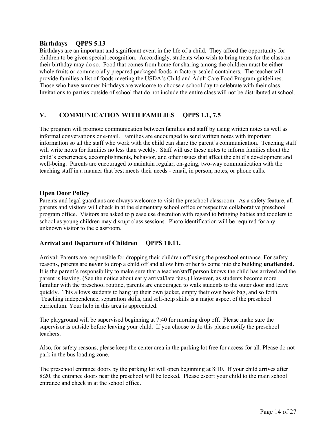#### **Birthdays QPPS 5.13**

Birthdays are an important and significant event in the life of a child. They afford the opportunity for children to be given special recognition. Accordingly, students who wish to bring treats for the class on their birthday may do so. Food that comes from home for sharing among the children must be either whole fruits or commercially prepared packaged foods in factory-sealed containers. The teacher will provide families a list of foods meeting the USDA's Child and Adult Care Food Program guidelines. Those who have summer birthdays are welcome to choose a school day to celebrate with their class. Invitations to parties outside of school that do not include the entire class will not be distributed at school.

## **V. COMMUNICATION WITH FAMILIES QPPS 1.1, 7.5**

The program will promote communication between families and staff by using written notes as well as informal conversations or e-mail. Families are encouraged to send written notes with important information so all the staff who work with the child can share the parent's communication. Teaching staff will write notes for families no less than weekly. Staff will use these notes to inform families about the child's experiences, accomplishments, behavior, and other issues that affect the child's development and well-being. Parents are encouraged to maintain regular, on-going, two-way communication with the teaching staff in a manner that best meets their needs - email, in person, notes, or phone calls.

#### **Open Door Policy**

Parents and legal guardians are always welcome to visit the preschool classroom. As a safety feature, all parents and visitors will check in at the elementary school office or respective collaborative preschool program office. Visitors are asked to please use discretion with regard to bringing babies and toddlers to school as young children may disrupt class sessions. Photo identification will be required for any unknown visitor to the classroom.

#### **Arrival and Departure of Children QPPS 10.11.**

Arrival: Parents are responsible for dropping their children off using the preschool entrance. For safety reasons, parents are **never** to drop a child off and allow him or her to come into the building **unattended**. It is the parent's responsibility to make sure that a teacher/staff person knows the child has arrived and the parent is leaving. (See the notice about early arrival/late fees.) However, as students become more familiar with the preschool routine, parents are encouraged to walk students to the outer door and leave quickly. This allows students to hang up their own jacket, empty their own book bag, and so forth. Teaching independence, separation skills, and self-help skills is a major aspect of the preschool curriculum. Your help in this area is appreciated.

The playground will be supervised beginning at 7:40 for morning drop off. Please make sure the supervisor is outside before leaving your child. If you choose to do this please notify the preschool teachers.

Also, for safety reasons, please keep the center area in the parking lot free for access for all. Please do not park in the bus loading zone.

The preschool entrance doors by the parking lot will open beginning at 8:10. If your child arrives after 8:20, the entrance doors near the preschool will be locked. Please escort your child to the main school entrance and check in at the school office.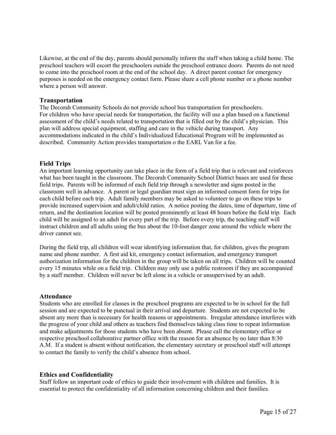Likewise, at the end of the day, parents should personally inform the staff when taking a child home. The preschool teachers will escort the preschoolers outside the preschool entrance doors. Parents do not need to come into the preschool room at the end of the school day. A direct parent contact for emergency purposes is needed on the emergency contact form. Please share a cell phone number or a phone number where a person will answer.

#### **Transportation**

The Decorah Community Schools do not provide school bus transportation for preschoolers. For children who have special needs for transportation, the facility will use a plan based on a functional assessment of the child's needs related to transportation that is filled out by the child's physician. This plan will address special equipment, staffing and care in the vehicle during transport. Any accommodations indicated in the child's Individualized Educational Program will be implemented as described. Community Action provides transportation o the EARL Van for a fee.

#### **Field Trips**

An important learning opportunity can take place in the form of a field trip that is relevant and reinforces what has been taught in the classroom. The Decorah Community School District buses are used for these field trips. Parents will be informed of each field trip through a newsletter and signs posted in the classroom well in advance. A parent or legal guardian must sign an informed consent form for trips for each child before each trip. Adult family members may be asked to volunteer to go on these trips to provide increased supervision and adult/child ratios. A notice posting the dates, time of departure, time of return, and the destination location will be posted prominently at least 48 hours before the field trip. Each child will be assigned to an adult for every part of the trip. Before every trip, the teaching staff will instruct children and all adults using the bus about the 10-foot danger zone around the vehicle where the driver cannot see.

During the field trip, all children will wear identifying information that, for children, gives the program name and phone number. A first aid kit, emergency contact information, and emergency transport authorization information for the children in the group will be taken on all trips. Children will be counted every 15 minutes while on a field trip. Children may only use a public restroom if they are accompanied by a staff member. Children will never be left alone in a vehicle or unsupervised by an adult.

#### **Attendance**

Students who are enrolled for classes in the preschool programs are expected to be in school for the full session and are expected to be punctual in their arrival and departure. Students are not expected to be absent any more than is necessary for health reasons or appointments. Irregular attendance interferes with the progress of your child and others as teachers find themselves taking class time to repeat information and make adjustments for those students who have been absent. Please call the elementary office or respective preschool collaborative partner office with the reason for an absence by no later than 8:30 A.M. If a student is absent without notification, the elementary secretary or preschool staff will attempt to contact the family to verify the child's absence from school.

#### **Ethics and Confidentiality**

Staff follow an important code of ethics to guide their involvement with children and families. It is essential to protect the confidentiality of all information concerning children and their families.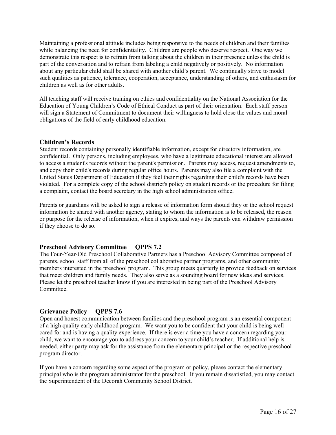Maintaining a professional attitude includes being responsive to the needs of children and their families while balancing the need for confidentiality. Children are people who deserve respect. One way we demonstrate this respect is to refrain from talking about the children in their presence unless the child is part of the conversation and to refrain from labeling a child negatively or positively. No information about any particular child shall be shared with another child's parent. We continually strive to model such qualities as patience, tolerance, cooperation, acceptance, understanding of others, and enthusiasm for children as well as for other adults.

All teaching staff will receive training on ethics and confidentiality on the National Association for the Education of Young Children's Code of Ethical Conduct as part of their orientation. Each staff person will sign a Statement of Commitment to document their willingness to hold close the values and moral obligations of the field of early childhood education.

#### **Children's Records**

Student records containing personally identifiable information, except for directory information, are confidential. Only persons, including employees, who have a legitimate educational interest are allowed to access a student's records without the parent's permission. Parents may access, request amendments to, and copy their child's records during regular office hours. Parents may also file a complaint with the United States Department of Education if they feel their rights regarding their child's records have been violated. For a complete copy of the school district's policy on student records or the procedure for filing a complaint, contact the board secretary in the high school administration office.

Parents or guardians will be asked to sign a release of information form should they or the school request information be shared with another agency, stating to whom the information is to be released, the reason or purpose for the release of information, when it expires, and ways the parents can withdraw permission if they choose to do so.

#### **Preschool Advisory Committee QPPS 7.2**

The Four-Year-Old Preschool Collaborative Partners has a Preschool Advisory Committee composed of parents, school staff from all of the preschool collaborative partner programs, and other community members interested in the preschool program. This group meets quarterly to provide feedback on services that meet children and family needs. They also serve as a sounding board for new ideas and services. Please let the preschool teacher know if you are interested in being part of the Preschool Advisory **Committee** 

#### **Grievance Policy QPPS 7.6**

Open and honest communication between families and the preschool program is an essential component of a high quality early childhood program. We want you to be confident that your child is being well cared for and is having a quality experience. If there is ever a time you have a concern regarding your child, we want to encourage you to address your concern to your child's teacher. If additional help is needed, either party may ask for the assistance from the elementary principal or the respective preschool program director.

If you have a concern regarding some aspect of the program or policy, please contact the elementary principal who is the program administrator for the preschool. If you remain dissatisfied, you may contact the Superintendent of the Decorah Community School District.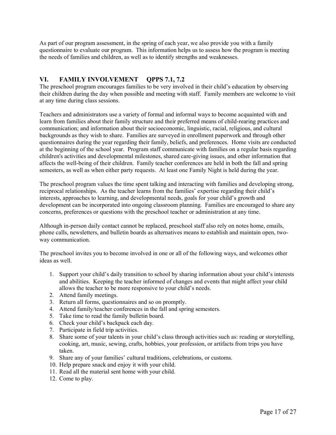As part of our program assessment, in the spring of each year, we also provide you with a family questionnaire to evaluate our program. This information helps us to assess how the program is meeting the needs of families and children, as well as to identify strengths and weaknesses.

## **VI. FAMILY INVOLVEMENT QPPS 7.1, 7.2**

The preschool program encourages families to be very involved in their child's education by observing their children during the day when possible and meeting with staff. Family members are welcome to visit at any time during class sessions.

Teachers and administrators use a variety of formal and informal ways to become acquainted with and learn from families about their family structure and their preferred means of child-rearing practices and communication; and information about their socioeconomic, linguistic, racial, religious, and cultural backgrounds as they wish to share. Families are surveyed in enrollment paperwork and through other questionnaires during the year regarding their family, beliefs, and preferences. Home visits are conducted at the beginning of the school year. Program staff communicate with families on a regular basis regarding children's activities and developmental milestones, shared care-giving issues, and other information that affects the well-being of their children. Family teacher conferences are held in both the fall and spring semesters, as well as when either party requests. At least one Family Night is held during the year.

The preschool program values the time spent talking and interacting with families and developing strong, reciprocal relationships. As the teacher learns from the families' expertise regarding their child's interests, approaches to learning, and developmental needs, goals for your child's growth and development can be incorporated into ongoing classroom planning. Families are encouraged to share any concerns, preferences or questions with the preschool teacher or administration at any time.

Although in-person daily contact cannot be replaced, preschool staff also rely on notes home, emails, phone calls, newsletters, and bulletin boards as alternatives means to establish and maintain open, twoway communication.

The preschool invites you to become involved in one or all of the following ways, and welcomes other ideas as well.

- 1. Support your child's daily transition to school by sharing information about your child's interests and abilities. Keeping the teacher informed of changes and events that might affect your child allows the teacher to be more responsive to your child's needs.
- 2. Attend family meetings.
- 3. Return all forms, questionnaires and so on promptly.
- 4. Attend family/teacher conferences in the fall and spring semesters.
- 5. Take time to read the family bulletin board.
- 6. Check your child's backpack each day.
- 7. Participate in field trip activities.
- 8. Share some of your talents in your child's class through activities such as: reading or storytelling, cooking, art, music, sewing, crafts, hobbies, your profession, or artifacts from trips you have taken.
- 9. Share any of your families' cultural traditions, celebrations, or customs.
- 10. Help prepare snack and enjoy it with your child.
- 11. Read all the material sent home with your child.
- 12. Come to play.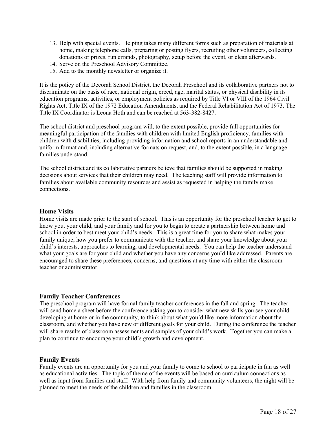- 13. Help with special events. Helping takes many different forms such as preparation of materials at home, making telephone calls, preparing or posting flyers, recruiting other volunteers, collecting donations or prizes, run errands, photography, setup before the event, or clean afterwards.
- 14. Serve on the Preschool Advisory Committee.
- 15. Add to the monthly newsletter or organize it.

It is the policy of the Decorah School District, the Decorah Preschool and its collaborative partners not to discriminate on the basis of race, national origin, creed, age, marital status, or physical disability in its education programs, activities, or employment policies as required by Title VI or VIII of the 1964 Civil Rights Act, Title IX of the 1972 Education Amendments, and the Federal Rehabilitation Act of 1973. The Title IX Coordinator is Leona Hoth and can be reached at 563-382-8427.

The school district and preschool program will, to the extent possible, provide full opportunities for meaningful participation of the families with children with limited English proficiency, families with children with disabilities, including providing information and school reports in an understandable and uniform format and, including alternative formats on request, and, to the extent possible, in a language families understand.

The school district and its collaborative partners believe that families should be supported in making decisions about services that their children may need. The teaching staff will provide information to families about available community resources and assist as requested in helping the family make connections.

#### **Home Visits**

Home visits are made prior to the start of school. This is an opportunity for the preschool teacher to get to know you, your child, and your family and for you to begin to create a partnership between home and school in order to best meet your child's needs. This is a great time for you to share what makes your family unique, how you prefer to communicate with the teacher, and share your knowledge about your child's interests, approaches to learning, and developmental needs. You can help the teacher understand what your goals are for your child and whether you have any concerns you'd like addressed. Parents are encouraged to share these preferences, concerns, and questions at any time with either the classroom teacher or administrator.

#### **Family Teacher Conferences**

The preschool program will have formal family teacher conferences in the fall and spring. The teacher will send home a sheet before the conference asking you to consider what new skills you see your child developing at home or in the community, to think about what you'd like more information about the classroom, and whether you have new or different goals for your child. During the conference the teacher will share results of classroom assessments and samples of your child's work. Together you can make a plan to continue to encourage your child's growth and development.

#### **Family Events**

Family events are an opportunity for you and your family to come to school to participate in fun as well as educational activities. The topic of theme of the events will be based on curriculum connections as well as input from families and staff. With help from family and community volunteers, the night will be planned to meet the needs of the children and families in the classroom.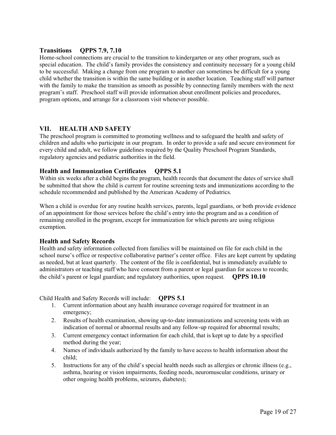#### **Transitions QPPS 7.9, 7.10**

Home-school connections are crucial to the transition to kindergarten or any other program, such as special education. The child's family provides the consistency and continuity necessary for a young child to be successful. Making a change from one program to another can sometimes be difficult for a young child whether the transition is within the same building or in another location. Teaching staff will partner with the family to make the transition as smooth as possible by connecting family members with the next program's staff. Preschool staff will provide information about enrollment policies and procedures, program options, and arrange for a classroom visit whenever possible.

#### **VII. HEALTH AND SAFETY**

The preschool program is committed to promoting wellness and to safeguard the health and safety of children and adults who participate in our program. In order to provide a safe and secure environment for every child and adult, we follow guidelines required by the Quality Preschool Program Standards, regulatory agencies and pediatric authorities in the field.

#### **Health and Immunization Certificates QPPS 5.1**

Within six weeks after a child begins the program, health records that document the dates of service shall be submitted that show the child is current for routine screening tests and immunizations according to the schedule recommended and published by the American Academy of Pediatrics.

When a child is overdue for any routine health services, parents, legal guardians, or both provide evidence of an appointment for those services before the child's entry into the program and as a condition of remaining enrolled in the program, except for immunization for which parents are using religious exemption.

#### **Health and Safety Records**

Health and safety information collected from families will be maintained on file for each child in the school nurse's office or respective collaborative partner's center office. Files are kept current by updating as needed, but at least quarterly. The content of the file is confidential, but is immediately available to administrators or teaching staff who have consent from a parent or legal guardian for access to records; the child's parent or legal guardian; and regulatory authorities, upon request. **QPPS 10.10**

Child Health and Safety Records will include: **QPPS 5.1**

- 1. Current information about any health insurance coverage required for treatment in an emergency;
- 2. Results of health examination, showing up-to-date immunizations and screening tests with an indication of normal or abnormal results and any follow-up required for abnormal results;
- 3. Current emergency contact information for each child, that is kept up to date by a specified method during the year;
- 4. Names of individuals authorized by the family to have access to health information about the child;
- 5. Instructions for any of the child's special health needs such as allergies or chronic illness (e.g., asthma, hearing or vision impairments, feeding needs, neuromuscular conditions, urinary or other ongoing health problems, seizures, diabetes);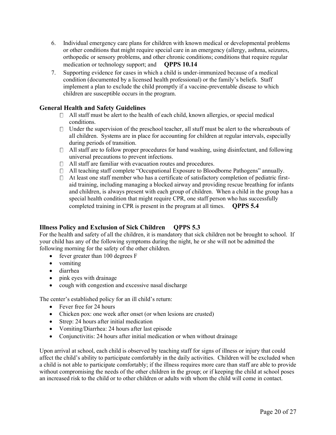- 6. Individual emergency care plans for children with known medical or developmental problems or other conditions that might require special care in an emergency (allergy, asthma, seizures, orthopedic or sensory problems, and other chronic conditions; conditions that require regular medication or technology support; and **QPPS 10.14**
- 7. Supporting evidence for cases in which a child is under-immunized because of a medical condition (documented by a licensed health professional) or the family's beliefs. Staff implement a plan to exclude the child promptly if a vaccine-preventable disease to which children are susceptible occurs in the program.

#### **General Health and Safety Guidelines**

- $\Box$  All staff must be alert to the health of each child, known allergies, or special medical conditions.
- $\Box$  Under the supervision of the preschool teacher, all stuff must be alert to the whereabouts of all children. Systems are in place for accounting for children at regular intervals, especially during periods of transition.
- $\Box$  All staff are to follow proper procedures for hand washing, using disinfectant, and following universal precautions to prevent infections.
- $\Box$  All staff are familiar with evacuation routes and procedures.
- $\Box$  All teaching staff complete "Occupational Exposure to Bloodborne Pathogens" annually.
- At least one staff member who has a certificate of satisfactory completion of pediatric firstaid training, including managing a blocked airway and providing rescue breathing for infants and children, is always present with each group of children. When a child in the group has a special health condition that might require CPR, one staff person who has successfully completed training in CPR is present in the program at all times. **QPPS 5.4**

## **Illness Policy and Exclusion of Sick Children QPPS 5.3**

For the health and safety of all the children, it is mandatory that sick children not be brought to school. If your child has any of the following symptoms during the night, he or she will not be admitted the following morning for the safety of the other children.

- fever greater than 100 degrees F
- vomiting
- diarrhea
- pink eyes with drainage
- cough with congestion and excessive nasal discharge

The center's established policy for an ill child's return:

- Fever free for 24 hours
- Chicken pox: one week after onset (or when lesions are crusted)
- Strep: 24 hours after initial medication
- Vomiting/Diarrhea: 24 hours after last episode
- Conjunctivitis: 24 hours after initial medication or when without drainage

Upon arrival at school, each child is observed by teaching staff for signs of illness or injury that could affect the child's ability to participate comfortably in the daily activities. Children will be excluded when a child is not able to participate comfortably; if the illness requires more care than staff are able to provide without compromising the needs of the other children in the group; or if keeping the child at school poses an increased risk to the child or to other children or adults with whom the child will come in contact.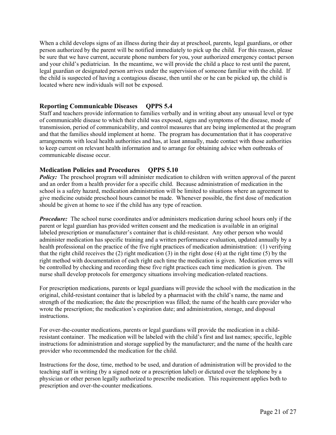When a child develops signs of an illness during their day at preschool, parents, legal guardians, or other person authorized by the parent will be notified immediately to pick up the child. For this reason, please be sure that we have current, accurate phone numbers for you, your authorized emergency contact person and your child's pediatrician. In the meantime, we will provide the child a place to rest until the parent, legal guardian or designated person arrives under the supervision of someone familiar with the child. If the child is suspected of having a contagious disease, then until she or he can be picked up, the child is located where new individuals will not be exposed.

#### **Reporting Communicable Diseases QPPS 5.4**

Staff and teachers provide information to families verbally and in writing about any unusual level or type of communicable disease to which their child was exposed, signs and symptoms of the disease, mode of transmission, period of communicability, and control measures that are being implemented at the program and that the families should implement at home. The program has documentation that it has cooperative arrangements with local health authorities and has, at least annually, made contact with those authorities to keep current on relevant health information and to arrange for obtaining advice when outbreaks of communicable disease occur.

#### **Medication Policies and Procedures QPPS 5.10**

*Policy:* The preschool program will administer medication to children with written approval of the parent and an order from a health provider for a specific child. Because administration of medication in the school is a safety hazard, medication administration will be limited to situations where an agreement to give medicine outside preschool hours cannot be made. Whenever possible, the first dose of medication should be given at home to see if the child has any type of reaction.

*Procedure:* The school nurse coordinates and/or administers medication during school hours only if the parent or legal guardian has provided written consent and the medication is available in an original labeled prescription or manufacturer's container that is child-resistant. Any other person who would administer medication has specific training and a written performance evaluation, updated annually by a health professional on the practice of the five right practices of medication administration: (1) verifying that the right child receives the (2) right medication (3) in the right dose (4) at the right time (5) by the right method with documentation of each right each time the medication is given. Medication errors will be controlled by checking and recording these five right practices each time medication is given. The nurse shall develop protocols for emergency situations involving medication-related reactions.

For prescription medications, parents or legal guardians will provide the school with the medication in the original, child-resistant container that is labeled by a pharmacist with the child's name, the name and strength of the medication; the date the prescription was filled; the name of the health care provider who wrote the prescription; the medication's expiration date; and administration, storage, and disposal instructions.

For over-the-counter medications, parents or legal guardians will provide the medication in a childresistant container. The medication will be labeled with the child's first and last names; specific, legible instructions for administration and storage supplied by the manufacturer; and the name of the health care provider who recommended the medication for the child.

Instructions for the dose, time, method to be used, and duration of administration will be provided to the teaching staff in writing (by a signed note or a prescription label) or dictated over the telephone by a physician or other person legally authorized to prescribe medication. This requirement applies both to prescription and over-the-counter medications.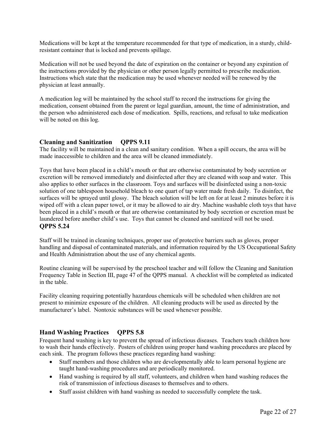Medications will be kept at the temperature recommended for that type of medication, in a sturdy, childresistant container that is locked and prevents spillage.

Medication will not be used beyond the date of expiration on the container or beyond any expiration of the instructions provided by the physician or other person legally permitted to prescribe medication. Instructions which state that the medication may be used whenever needed will be renewed by the physician at least annually.

A medication log will be maintained by the school staff to record the instructions for giving the medication, consent obtained from the parent or legal guardian, amount, the time of administration, and the person who administered each dose of medication. Spills, reactions, and refusal to take medication will be noted on this log.

## **Cleaning and Sanitization QPPS 9.11**

The facility will be maintained in a clean and sanitary condition. When a spill occurs, the area will be made inaccessible to children and the area will be cleaned immediately.

Toys that have been placed in a child's mouth or that are otherwise contaminated by body secretion or excretion will be removed immediately and disinfected after they are cleaned with soap and water. This also applies to other surfaces in the classroom. Toys and surfaces will be disinfected using a non-toxic solution of one tablespoon household bleach to one quart of tap water made fresh daily. To disinfect, the surfaces will be sprayed until glossy. The bleach solution will be left on for at least 2 minutes before it is wiped off with a clean paper towel, or it may be allowed to air dry. Machine washable cloth toys that have been placed in a child's mouth or that are otherwise contaminated by body secretion or excretion must be laundered before another child's use. Toys that cannot be cleaned and sanitized will not be used. **QPPS 5.24**

Staff will be trained in cleaning techniques, proper use of protective barriers such as gloves, proper handling and disposal of contaminated materials, and information required by the US Occupational Safety and Health Administration about the use of any chemical agents.

Routine cleaning will be supervised by the preschool teacher and will follow the Cleaning and Sanitation Frequency Table in Section III, page 47 of the QPPS manual. A checklist will be completed as indicated in the table.

Facility cleaning requiring potentially hazardous chemicals will be scheduled when children are not present to minimize exposure of the children. All cleaning products will be used as directed by the manufacturer's label. Nontoxic substances will be used whenever possible.

## **Hand Washing Practices QPPS 5.8**

Frequent hand washing is key to prevent the spread of infectious diseases. Teachers teach children how to wash their hands effectively. Posters of children using proper hand washing procedures are placed by each sink. The program follows these practices regarding hand washing:

- Staff members and those children who are developmentally able to learn personal hygiene are taught hand-washing procedures and are periodically monitored.
- Hand washing is required by all staff, volunteers, and children when hand washing reduces the risk of transmission of infectious diseases to themselves and to others.
- Staff assist children with hand washing as needed to successfully complete the task.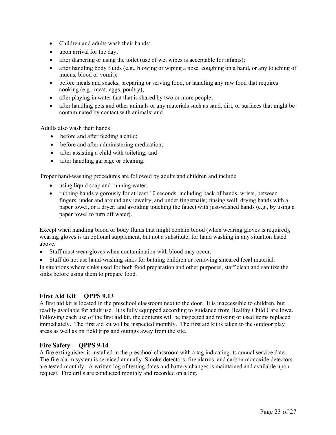- Children and adults wash their hands:
- upon arrival for the day;
- after diapering or using the toilet (use of wet wipes is acceptable for infants);
- after handling body fluids (e.g., blowing or wiping a nose, coughing on a hand, or any touching of mucus, blood or vomit);
- before meals and snacks, preparing or serving food, or handling any raw food that requires cooking (e.g., meat, eggs, poultry);
- after playing in water that that is shared by two or more people;
- after handling pets and other animals or any materials such as sand, dirt, or surfaces that might be contaminated by contact with animals; and

Adults also wash their hands

- before and after feeding a child;
- before and after administering medication;
- after assisting a child with toileting; and
- after handling garbage or cleaning.

Proper hand-washing procedures are followed by adults and children and include

- using liquid soap and running water;
- rubbing hands vigorously for at least 10 seconds, including back of hands, wrists, between fingers, under and around any jewelry, and under fingernails; rinsing well; drying hands with a paper towel, or a dryer; and avoiding touching the faucet with just-washed hands (e.g., by using a paper towel to turn off water).

Except when handling blood or body fluids that might contain blood (when wearing gloves is required), wearing gloves is an optional supplement, but not a substitute, for hand washing in any situation listed above.

- Staff must wear gloves when contamination with blood may occur.
- Staff do not use hand-washing sinks for bathing children or removing smeared fecal material.

In situations where sinks used for both food preparation and other purposes, staff clean and sanitize the sinks before using them to prepare food.

#### **First Aid Kit QPPS 9.13**

A first aid kit is located in the preschool classroom next to the door. It is inaccessible to children, but readily available for adult use. It is fully equipped according to guidance from Healthy Child Care Iowa. Following each use of the first aid kit, the contents will be inspected and missing or used items replaced immediately. The first aid kit will be inspected monthly. The first aid kit is taken to the outdoor play areas as well as on field trips and outings away from the site.

#### **Fire Safety QPPS 9.14**

A fire extinguisher is installed in the preschool classroom with a tag indicating its annual service date. The fire alarm system is serviced annually. Smoke detectors, fire alarms, and carbon monoxide detectors are tested monthly. A written log of testing dates and battery changes is maintained and available upon request. Fire drills are conducted monthly and recorded on a log.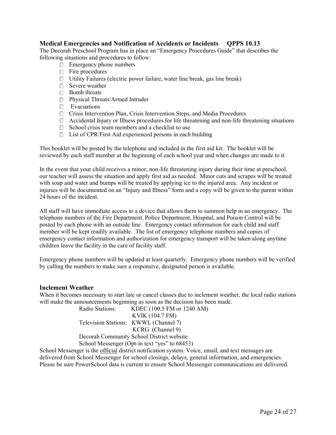#### **Medical Emergencies and Notification of Accidents or Incidents QPPS 10.13**

The Decorah Preschool Program has in place an "Emergency Procedures Guide" that describes the following situations and procedures to follow:

- $\Box$  Emergency phone numbers
- $\Box$  Fire procedures
- $\Box$  Utility Failures (electric power failure, water line break, gas line break)
- □ Severe weather
- □ Bomb threats
- □ Physical Threats/Armed Intruder
- **Evacuations**
- $\Box$  Crisis Intervention Plan, Crisis Intervention Steps, and Media Procedures
- $\Box$  Accidental Injury or Illness procedures for life threatening and non-life threatening situations
- $\Box$  School crisis team members and a checklist to use
- $\Box$  List of CPR/First Aid experienced persons in each building

This booklet will be posted by the telephone and included in the first aid kit. The booklet will be reviewed by each staff member at the beginning of each school year and when changes are made to it.

In the event that your child receives a minor, non-life threatening injury during their time at preschool, our teacher will assess the situation and apply first aid as needed. Minor cuts and scrapes will be treated with soap and water and bumps will be treated by applying ice to the injured area. Any incident or injuries will be documented on an "Injury and Illness" form and a copy will be given to the parent within 24 hours of the incident.

All staff will have immediate access to a device that allows them to summon help in an emergency. The telephone numbers of the Fire Department, Police Department, Hospital, and Poison Control will be posted by each phone with an outside line. Emergency contact information for each child and staff member will be kept readily available. The list of emergency telephone numbers and copies of emergency contact information and authorization for emergency transport will be taken along anytime children leave the facility in the care of facility staff.

Emergency phone numbers will be updated at least quarterly. Emergency phone numbers will be verified by calling the numbers to make sure a responsive, designated person is available.

#### **Inclement Weather**

When it becomes necessary to start late or cancel classes due to inclement weather, the local radio stations will make the announcements beginning as soon as the decision has been made.

| Radio Stations:                               | KDEC (100.5 FM or 1240 AM)            |
|-----------------------------------------------|---------------------------------------|
|                                               | <b>KVIK (104.7 FM)</b>                |
|                                               | Television Stations: KWWL (Channel 7) |
|                                               | KCRG (Channel 9)                      |
| Decorah Community School District website     |                                       |
| School Messenger (Opt-in text "yes" to 68453) |                                       |

School Messenger is the official district notification system. Voice, email, and text messages are delivered from School Messenger for school closings, delays, general information, and emergencies. Please be sure PowerSchool data is current to ensure School Messenger communications are delivered.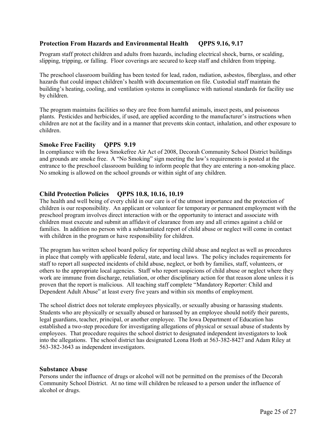#### **Protection From Hazards and Environmental Health QPPS 9.16, 9.17**

Program staff protect children and adults from hazards, including electrical shock, burns, or scalding, slipping, tripping, or falling. Floor coverings are secured to keep staff and children from tripping.

The preschool classroom building has been tested for lead, radon, radiation, asbestos, fiberglass, and other hazards that could impact children's health with documentation on file. Custodial staff maintain the building's heating, cooling, and ventilation systems in compliance with national standards for facility use by children.

The program maintains facilities so they are free from harmful animals, insect pests, and poisonous plants. Pesticides and herbicides, if used, are applied according to the manufacturer's instructions when children are not at the facility and in a manner that prevents skin contact, inhalation, and other exposure to children.

#### **Smoke Free Facility QPPS 9.19**

In compliance with the Iowa Smokefree Air Act of 2008, Decorah Community School District buildings and grounds are smoke free. A "No Smoking" sign meeting the law's requirements is posted at the entrance to the preschool classroom building to inform people that they are entering a non-smoking place. No smoking is allowed on the school grounds or within sight of any children.

#### **Child Protection Policies QPPS 10.8, 10.16, 10.19**

The health and well being of every child in our care is of the utmost importance and the protection of children is our responsibility. An applicant or volunteer for temporary or permanent employment with the preschool program involves direct interaction with or the opportunity to interact and associate with children must execute and submit an affidavit of clearance from any and all crimes against a child or families. In addition no person with a substantiated report of child abuse or neglect will come in contact with children in the program or have responsibility for children.

The program has written school board policy for reporting child abuse and neglect as well as procedures in place that comply with applicable federal, state, and local laws. The policy includes requirements for staff to report all suspected incidents of child abuse, neglect, or both by families, staff, volunteers, or others to the appropriate local agencies. Staff who report suspicions of child abuse or neglect where they work are immune from discharge, retaliation, or other disciplinary action for that reason alone unless it is proven that the report is malicious. All teaching staff complete "Mandatory Reporter: Child and Dependent Adult Abuse" at least every five years and within six months of employment.

The school district does not tolerate employees physically, or sexually abusing or harassing students. Students who are physically or sexually abused or harassed by an employee should notify their parents, legal guardians, teacher, principal, or another employee. The Iowa Department of Education has established a two-step procedure for investigating allegations of physical or sexual abuse of students by employees. That procedure requires the school district to designated independent investigators to look into the allegations. The school district has designated Leona Hoth at 563-382-8427 and Adam Riley at 563-382-3643 as independent investigators.

#### **Substance Abuse**

Persons under the influence of drugs or alcohol will not be permitted on the premises of the Decorah Community School District. At no time will children be released to a person under the influence of alcohol or drugs.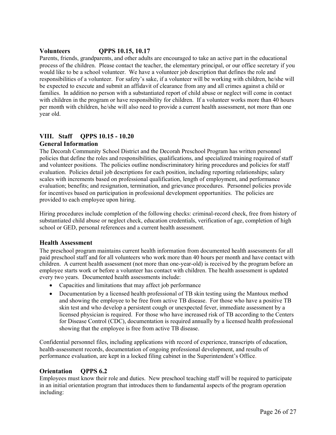#### **Volunteers QPPS 10.15, 10.17**

Parents, friends, grandparents, and other adults are encouraged to take an active part in the educational process of the children. Please contact the teacher, the elementary principal, or our office secretary if you would like to be a school volunteer. We have a volunteer job description that defines the role and responsibilities of a volunteer. For safety's sake, if a volunteer will be working with children, he/she will be expected to execute and submit an affidavit of clearance from any and all crimes against a child or families. In addition no person with a substantiated report of child abuse or neglect will come in contact with children in the program or have responsibility for children. If a volunteer works more than 40 hours per month with children, he/she will also need to provide a current health assessment, not more than one year old.

## **VIII. Staff QPPS 10.15 - 10.20**

#### **General Information**

The Decorah Community School District and the Decorah Preschool Program has written personnel policies that define the roles and responsibilities, qualifications, and specialized training required of staff and volunteer positions. The policies outline nondiscriminatory hiring procedures and policies for staff evaluation. Policies detail job descriptions for each position, including reporting relationships; salary scales with increments based on professional qualification, length of employment, and performance evaluation; benefits; and resignation, termination, and grievance procedures. Personnel policies provide for incentives based on participation in professional development opportunities. The policies are provided to each employee upon hiring.

Hiring procedures include completion of the following checks: criminal-record check, free from history of substantiated child abuse or neglect check, education credentials, verification of age, completion of high school or GED, personal references and a current health assessment.

#### **Health Assessment**

The preschool program maintains current health information from documented health assessments for all paid preschool staff and for all volunteers who work more than 40 hours per month and have contact with children. A current health assessment (not more than one-year-old) is received by the program before an employee starts work or before a volunteer has contact with children. The health assessment is updated every two years. Documented health assessments include:

- Capacities and limitations that may affect job performance
- Documentation by a licensed health professional of TB skin testing using the Mantoux method and showing the employee to be free from active TB disease. For those who have a positive TB skin test and who develop a persistent cough or unexpected fever, immediate assessment by a licensed physician is required. For those who have increased risk of TB according to the Centers for Disease Control (CDC), documentation is required annually by a licensed health professional showing that the employee is free from active TB disease.

Confidential personnel files, including applications with record of experience, transcripts of education, health-assessment records, documentation of ongoing professional development, and results of performance evaluation, are kept in a locked filing cabinet in the Superintendent's Office.

#### **Orientation QPPS 6.2**

Employees must know their role and duties. New preschool teaching staff will be required to participate in an initial orientation program that introduces them to fundamental aspects of the program operation including: